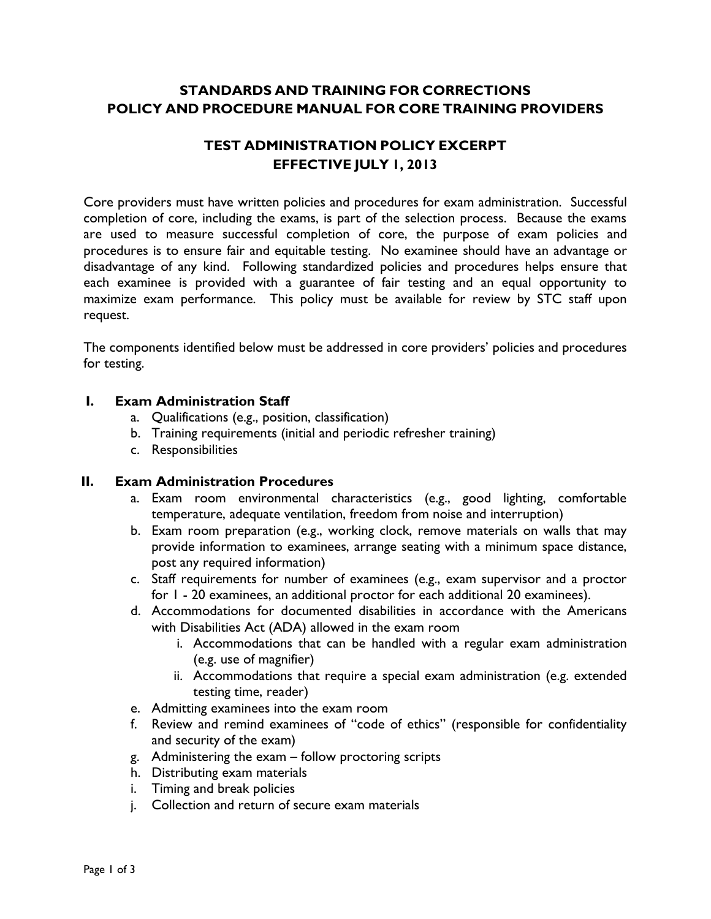# **STANDARDS AND TRAINING FOR CORRECTIONS POLICY AND PROCEDURE MANUAL FOR CORE TRAINING PROVIDERS**

## **TEST ADMINISTRATION POLICY EXCERPT EFFECTIVE JULY 1, 2013**

Core providers must have written policies and procedures for exam administration. Successful completion of core, including the exams, is part of the selection process. Because the exams are used to measure successful completion of core, the purpose of exam policies and procedures is to ensure fair and equitable testing. No examinee should have an advantage or disadvantage of any kind. Following standardized policies and procedures helps ensure that each examinee is provided with a guarantee of fair testing and an equal opportunity to maximize exam performance. This policy must be available for review by STC staff upon request.

The components identified below must be addressed in core providers' policies and procedures for testing.

## **I. Exam Administration Staff**

- a. Qualifications (e.g., position, classification)
- b. Training requirements (initial and periodic refresher training)
- c. Responsibilities

#### **II. Exam Administration Procedures**

- a. Exam room environmental characteristics (e.g., good lighting, comfortable temperature, adequate ventilation, freedom from noise and interruption)
- b. Exam room preparation (e.g., working clock, remove materials on walls that may provide information to examinees, arrange seating with a minimum space distance, post any required information)
- c. Staff requirements for number of examinees (e.g., exam supervisor and a proctor for 1 - 20 examinees, an additional proctor for each additional 20 examinees).
- d. Accommodations for documented disabilities in accordance with the Americans with Disabilities Act (ADA) allowed in the exam room
	- i. Accommodations that can be handled with a regular exam administration (e.g. use of magnifier)
	- ii. Accommodations that require a special exam administration (e.g. extended testing time, reader)
- e. Admitting examinees into the exam room
- f. Review and remind examinees of "code of ethics" (responsible for confidentiality and security of the exam)
- g. Administering the exam follow proctoring scripts
- h. Distributing exam materials
- i. Timing and break policies
- j. Collection and return of secure exam materials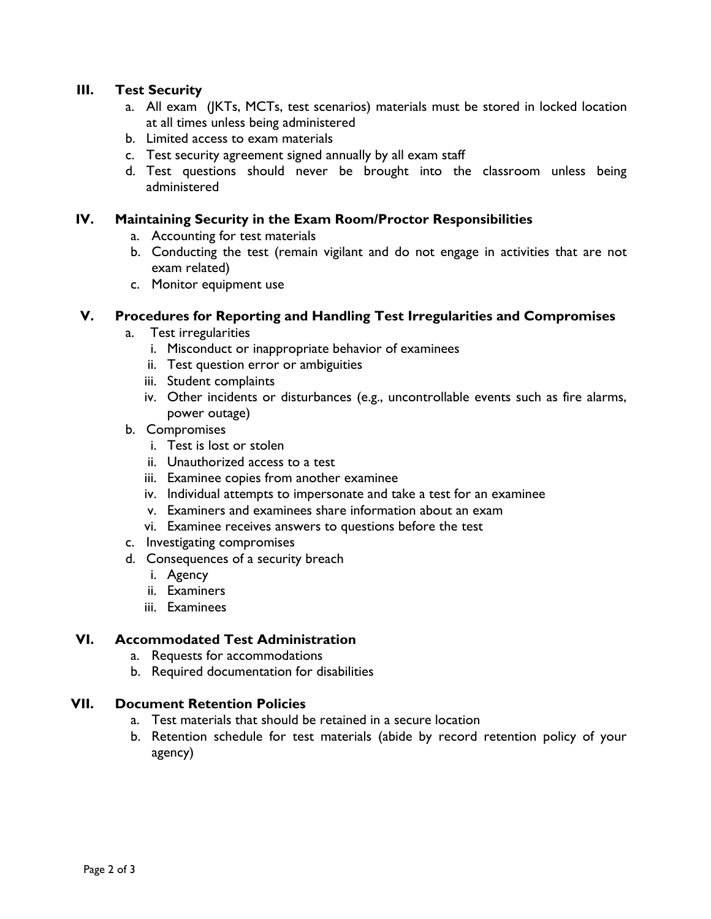## **III. Test Security**

- a. All exam (JKTs, MCTs, test scenarios) materials must be stored in locked location at all times unless being administered
- b. Limited access to exam materials
- c. Test security agreement signed annually by all exam staff
- d. Test questions should never be brought into the classroom unless being administered

## **IV. Maintaining Security in the Exam Room/Proctor Responsibilities**

- a. Accounting for test materials
- b. Conducting the test (remain vigilant and do not engage in activities that are not exam related)
- c. Monitor equipment use

## **V. Procedures for Reporting and Handling Test Irregularities and Compromises**

- a. Test irregularities
	- i. Misconduct or inappropriate behavior of examinees
	- ii. Test question error or ambiguities
	- iii. Student complaints
	- iv. Other incidents or disturbances (e.g., uncontrollable events such as fire alarms, power outage)
- b. Compromises
	- i. Test is lost or stolen
	- ii. Unauthorized access to a test
	- iii. Examinee copies from another examinee
	- iv. Individual attempts to impersonate and take a test for an examinee
	- v. Examiners and examinees share information about an exam
	- vi. Examinee receives answers to questions before the test
- c. Investigating compromises
- d. Consequences of a security breach
	- i. Agency
	- ii. Examiners
	- iii. Examinees

#### **VI. Accommodated Test Administration**

- a. Requests for accommodations
- b. Required documentation for disabilities

#### **VII. Document Retention Policies**

- a. Test materials that should be retained in a secure location
- b. Retention schedule for test materials (abide by record retention policy of your agency)